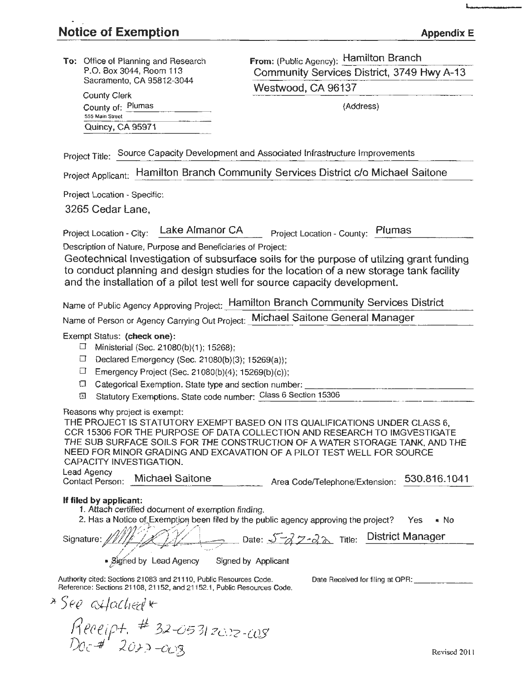$Doc$  #  $20$ 20  $-c_{C}$ 93

L

| To: Office of Planning and Research<br>P.O. Box 3044, Room 113                                                                                                                                                                                                                                                                      | From: (Public Agency): Hamilton Branch<br>Community Services District, 3749 Hwy A-13                                                                                                                                                                                                                                                                              |
|-------------------------------------------------------------------------------------------------------------------------------------------------------------------------------------------------------------------------------------------------------------------------------------------------------------------------------------|-------------------------------------------------------------------------------------------------------------------------------------------------------------------------------------------------------------------------------------------------------------------------------------------------------------------------------------------------------------------|
| Sacramento, CA 95812-3044                                                                                                                                                                                                                                                                                                           | Westwood, CA 96137                                                                                                                                                                                                                                                                                                                                                |
| <b>County Clerk</b>                                                                                                                                                                                                                                                                                                                 |                                                                                                                                                                                                                                                                                                                                                                   |
| County of: Plumas<br>555 Main Street                                                                                                                                                                                                                                                                                                | (Address)                                                                                                                                                                                                                                                                                                                                                         |
| Quincy, CA 95971                                                                                                                                                                                                                                                                                                                    |                                                                                                                                                                                                                                                                                                                                                                   |
| Project Title: Source Capacity Development and Associated Infrastructure Improvements                                                                                                                                                                                                                                               |                                                                                                                                                                                                                                                                                                                                                                   |
|                                                                                                                                                                                                                                                                                                                                     | Project Applicant: Hamilton Branch Community Services District c/o Michael Saitone                                                                                                                                                                                                                                                                                |
| Project Location - Specific:                                                                                                                                                                                                                                                                                                        |                                                                                                                                                                                                                                                                                                                                                                   |
| 3265 Cedar Lane,                                                                                                                                                                                                                                                                                                                    |                                                                                                                                                                                                                                                                                                                                                                   |
| Lake Almanor CA<br>Project Location - City:<br>Description of Nature, Purpose and Beneficiaries of Project:                                                                                                                                                                                                                         | Plumas<br>Project Location - County:<br>Geotechnical Investigation of subsurface soils for the purpose of utilzing grant funding                                                                                                                                                                                                                                  |
| and the installation of a pilot test well for source capacity development.                                                                                                                                                                                                                                                          | to conduct planning and design studies for the location of a new storage tank facility                                                                                                                                                                                                                                                                            |
|                                                                                                                                                                                                                                                                                                                                     | Name of Public Agency Approving Project: Hamilton Branch Community Services District                                                                                                                                                                                                                                                                              |
| Name of Person or Agency Carrying Out Project: Michael Saitone General Manager                                                                                                                                                                                                                                                      |                                                                                                                                                                                                                                                                                                                                                                   |
| Exempt Status: (check one):<br>□<br>Ministerial (Sec. 21080(b)(1); 15268);<br>Declared Emergency (Sec. 21080(b)(3); 15269(a));<br>⊔<br>⊔<br>Emergency Project (Sec. 21080(b)(4); 15269(b)(c));<br>Categorical Exemption. State type and section number:<br>□<br>Statutory Exemptions. State code number: Class 6 Section 15306<br>囡 |                                                                                                                                                                                                                                                                                                                                                                   |
| Reasons why project is exempt:<br>CAPACITY INVESTIGATION.<br>Lead Agency<br>Contact Person: Michael Saitone                                                                                                                                                                                                                         | THE PROJECT IS STATUTORY EXEMPT BASED ON ITS QUALIFICATIONS UNDER CLASS 6,<br>CCR 15306 FOR THE PURPOSE OF DATA COLLECTION AND RESEARCH TO IMGVESTIGATE<br>THE SUB SURFACE SOILS FOR THE CONSTRUCTION OF A WATER STORAGE TANK, AND THE<br>NEED FOR MINOR GRADING AND EXCAVATION OF A PILOT TEST WELL FOR SOURCE<br>530.816.1041<br>Area Code/Telephone/Extension: |
| If filed by applicant:<br>1. Attach certified document of exemption finding.<br>Signature:                                                                                                                                                                                                                                          | 2. Has a Notice of Exemption been filed by the public agency approving the project? Yes<br>• No<br>$\Rightarrow$ Date: $\sqrt{-g}$ $\sqrt{2- g}$ Title: District Manager                                                                                                                                                                                          |
| · Signed by Lead Agency                                                                                                                                                                                                                                                                                                             | Signed by Applicant                                                                                                                                                                                                                                                                                                                                               |
| Authority cited: Sections 21083 and 21110, Public Resources Code.                                                                                                                                                                                                                                                                   | Date Received for filing at OPR:                                                                                                                                                                                                                                                                                                                                  |
| Reference: Sections 21108, 21152, and 21152.1, Public Resources Code.<br>*See asfached*                                                                                                                                                                                                                                             |                                                                                                                                                                                                                                                                                                                                                                   |
| $Receipt.$ # 32-05312002-008                                                                                                                                                                                                                                                                                                        |                                                                                                                                                                                                                                                                                                                                                                   |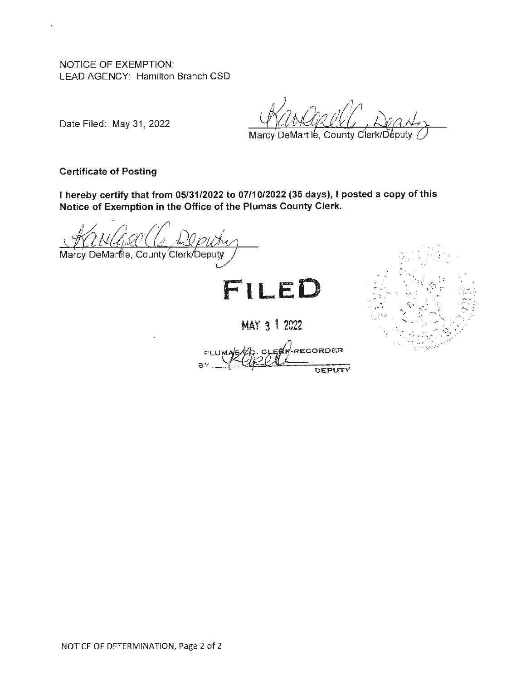NOTICE OF EXEMPTION: LEAD AGENCY: Hamilton Branch CSD

Date Filed: May 31, 2022

. , ..

*(* '

f, ~ ' '.J\_ ~;-*: :.* .' ~ *:* <sup>~</sup> $\cdot$  ,  $\cdot$  ,  $\cdot$  ,  $\cdot$  ,  $\cdot$  ,  $\cdot$ 

. '

 $\mathbb{S}^{+}_{\mathbb{R}^{2}}$  , i.e.,  $\mathbb{S}^{+}_{\mathbb{C}^{2}}$  .  $\mathbb{S}^{+}_{\mathbb{C}^{2}}$ 

Marcy DeMartile, County Clerk/Deputy

**Certificate of Posting** 

I **hereby certify that from 05/31/2022 to 07/10/2022 (35 days),** I **posted a copy of this Notice of Exemption in the Office of the Plumas County Clerk.** 

Marcy DeMartile, County Clerk/Deputy



MAY 3 <sup>1</sup> 2022

**K-RECORDER** DEPUTY

NOTICE OF DETERMINATION, Page 2 of 2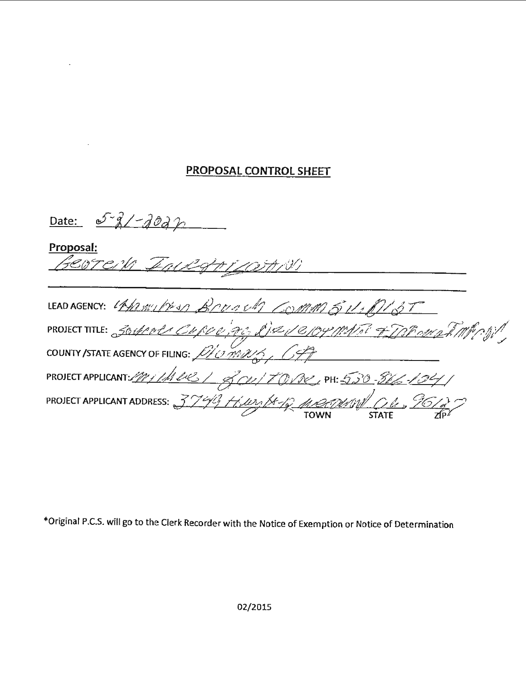## PROPOSAL CONTROL SHEET

Proposal:<br>*[3C&TC/V Fall\_GA\_<u>i/</u>Q)A/*V/

| LEAD AGENCY: 11/2011/2010 BOUNDA COMM 511/21/37                |
|----------------------------------------------------------------|
|                                                                |
| PROJECT TITLE: 3011000 CURDO, PC, L'ISU CHOYMATI FIDPOMATINING |
| PROJECT APPLICANT: 1/1/1/1/2 / 800/17012, PH: 5,50-816-104/    |
| PROJECT APPLICANT ADDRESS: 3749 H.W. 18-18 MARIDUM CH. 95612   |

\*Original P.C.S. will go to the Clerk Recorder with the Notice of Exemption or Notice of Determination